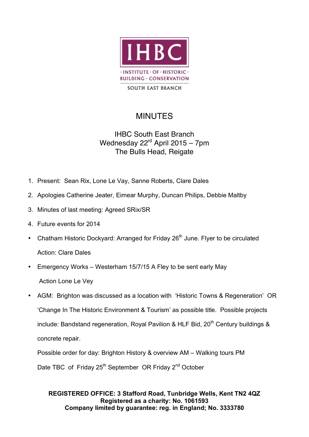

# MINUTES

# IHBC South East Branch Wednesday 22<sup>rd</sup> April 2015 – 7pm The Bulls Head, Reigate

- 1. Present: Sean Rix, Lone Le Vay, Sanne Roberts, Clare Dales
- 2. Apologies Catherine Jeater, Eimear Murphy, Duncan Philips, Debbie Maltby
- 3. Minutes of last meeting: Agreed SRix/SR
- 4. Future events for 2014
- Chatham Historic Dockyard: Arranged for Friday 26<sup>th</sup> June. Flyer to be circulated Action: Clare Dales
- Emergency Works Westerham 15/7/15 A Fley to be sent early May Action Lone Le Vey
- AGM: Brighton was discussed as a location with 'Historic Towns & Regeneration' OR 'Change In The Historic Environment & Tourism' as possible title. Possible projects include: Bandstand regeneration, Royal Pavilion & HLF Bid,  $20<sup>th</sup>$  Century buildings & concrete repair.

Possible order for day: Brighton History & overview AM – Walking tours PM Date TBC of Friday 25<sup>th</sup> September OR Friday 2<sup>nd</sup> October

## **REGISTERED OFFICE: 3 Stafford Road, Tunbridge Wells, Kent TN2 4QZ Registered as a charity: No. 1061593 Company limited by guarantee: reg. in England; No. 3333780**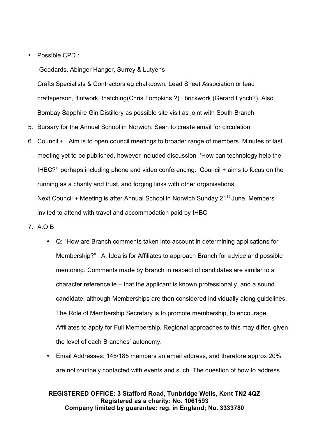### • Possible CPD :

Goddards, Abinger Hanger, Surrey & Lutyens

Crafts Specialists & Contractors eg chalkdown, Lead Sheet Association or lead craftsperson, flintwork, thatching(Chris Tompkins ?) , brickwork (Gerard Lynch?). Also Bombay Sapphire Gin Distillery as possible site visit as joint with South Branch

- 5. Bursary for the Annual School in Norwich: Sean to create email for circulation.
- 6. Council + Aim is to open council meetings to broader range of members. Minutes of last meeting yet to be published, however included discussion 'How can technology help the IHBC?' perhaps including phone and video conferencing. Council + aims to focus on the running as a charity and trust, and forging links with other organisations. Next Council + Meeting is after Annual School in Norwich Sunday 21<sup>st</sup> June. Members invited to attend with travel and accommodation paid by IHBC
- 7. A.O.B
	- Q: "How are Branch comments taken into account in determining applications for Membership?" A: Idea is for Affiliates to approach Branch for advice and possible mentoring. Comments made by Branch in respect of candidates are similar to a character reference ie – that the applicant is known professionally, and a sound candidate, although Memberships are then considered individually along guidelines. The Role of Membership Secretary is to promote membership, to encourage Affiliates to apply for Full Membership. Regional approaches to this may differ, given the level of each Branches' autonomy.
	- Email Addresses: 145/185 members an email address, and therefore approx 20% are not routinely contacted with events and such. The question of how to address

### **REGISTERED OFFICE: 3 Stafford Road, Tunbridge Wells, Kent TN2 4QZ Registered as a charity: No. 1061593 Company limited by guarantee: reg. in England; No. 3333780**